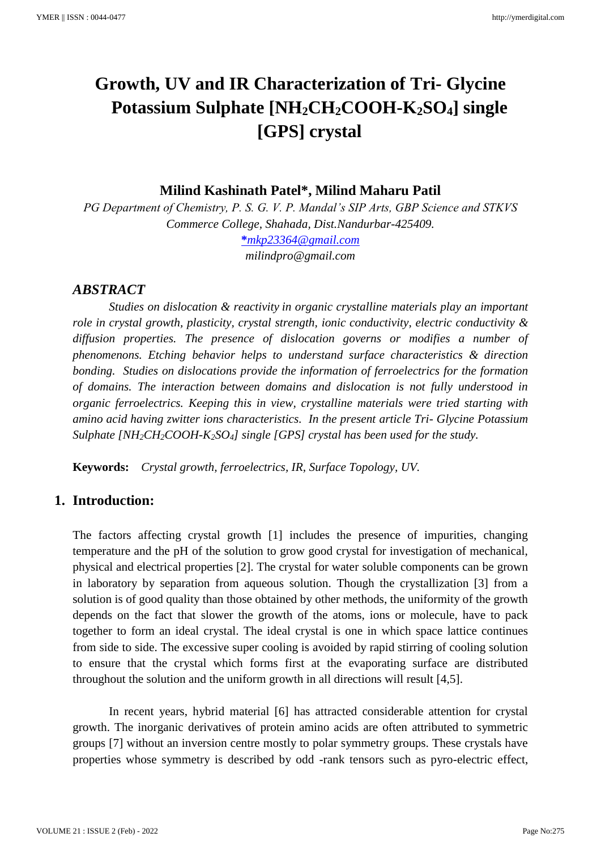# **Growth, UV and IR Characterization of Tri- Glycine Potassium Sulphate [NH2CH2COOH-K2SO4] single [GPS] crystal**

**Milind Kashinath Patel\*, Milind Maharu Patil**

*PG Department of Chemistry, P. S. G. V. P. Mandal's SIP Arts, GBP Science and STKVS Commerce College, Shahada, Dist.Nandurbar-425409.* **\****[mkp23364@gmail.com](mailto:*mkp23364@gmail.com,)*

*milindpro@gmail.com*

## *ABSTRACT*

*Studies on dislocation & reactivity in organic crystalline materials play an important role in crystal growth, plasticity, crystal strength, ionic conductivity, electric conductivity & diffusion properties. The presence of dislocation governs or modifies a number of phenomenons. Etching behavior helps to understand surface characteristics & direction bonding. Studies on dislocations provide the information of ferroelectrics for the formation of domains. The interaction between domains and dislocation is not fully understood in organic ferroelectrics. Keeping this in view, crystalline materials were tried starting with amino acid having zwitter ions characteristics. In the present article Tri- Glycine Potassium Sulphate [NH2CH2COOH-K2SO4] single [GPS] crystal has been used for the study.* 

**Keywords:** *Crystal growth, ferroelectrics, IR, Surface Topology, UV.*

# **1. Introduction:**

The factors affecting crystal growth [1] includes the presence of impurities, changing temperature and the pH of the solution to grow good crystal for investigation of mechanical, physical and electrical properties [2]. The crystal for water soluble components can be grown in laboratory by separation from aqueous solution. Though the crystallization [3] from a solution is of good quality than those obtained by other methods, the uniformity of the growth depends on the fact that slower the growth of the atoms, ions or molecule, have to pack together to form an ideal crystal. The ideal crystal is one in which space lattice continues from side to side. The excessive super cooling is avoided by rapid stirring of cooling solution to ensure that the crystal which forms first at the evaporating surface are distributed throughout the solution and the uniform growth in all directions will result [4,5].

In recent years, hybrid material [6] has attracted considerable attention for crystal growth. The inorganic derivatives of protein amino acids are often attributed to symmetric groups [7] without an inversion centre mostly to polar symmetry groups. These crystals have properties whose symmetry is described by odd -rank tensors such as pyro-electric effect,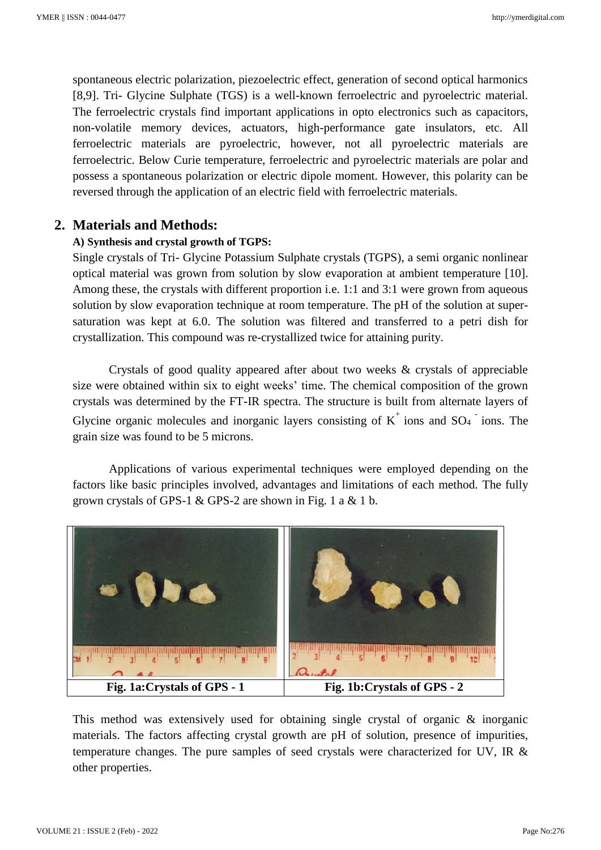spontaneous electric polarization, piezoelectric effect, generation of second optical harmonics [8,9]. Tri- Glycine Sulphate (TGS) is a well-known ferroelectric and pyroelectric material. The ferroelectric crystals find important applications in opto electronics such as capacitors, non-volatile memory devices, actuators, high-performance gate insulators, etc. All ferroelectric materials are pyroelectric, however, not all pyroelectric materials are ferroelectric. Below Curie temperature, ferroelectric and pyroelectric materials are polar and possess a spontaneous polarization or electric dipole moment. However, this polarity can be reversed through the application of an electric field with ferroelectric materials.

## **2. Materials and Methods:**

#### **A) Synthesis and crystal growth of TGPS:**

Single crystals of Tri- Glycine Potassium Sulphate crystals (TGPS), a semi organic nonlinear optical material was grown from solution by slow evaporation at ambient temperature [10]. Among these, the crystals with different proportion i.e. 1:1 and 3:1 were grown from aqueous solution by slow evaporation technique at room temperature. The pH of the solution at supersaturation was kept at 6.0. The solution was filtered and transferred to a petri dish for crystallization. This compound was re-crystallized twice for attaining purity.

Crystals of good quality appeared after about two weeks & crystals of appreciable size were obtained within six to eight weeks' time. The chemical composition of the grown crystals was determined by the FT-IR spectra. The structure is built from alternate layers of Glycine organic molecules and inorganic layers consisting of  $K^+$  ions and SO<sub>4</sub> ions. The grain size was found to be 5 microns.

Applications of various experimental techniques were employed depending on the factors like basic principles involved, advantages and limitations of each method. The fully grown crystals of GPS-1 & GPS-2 are shown in Fig. 1 a & 1 b.



This method was extensively used for obtaining single crystal of organic & inorganic materials. The factors affecting crystal growth are pH of solution, presence of impurities, temperature changes. The pure samples of seed crystals were characterized for UV, IR & other properties.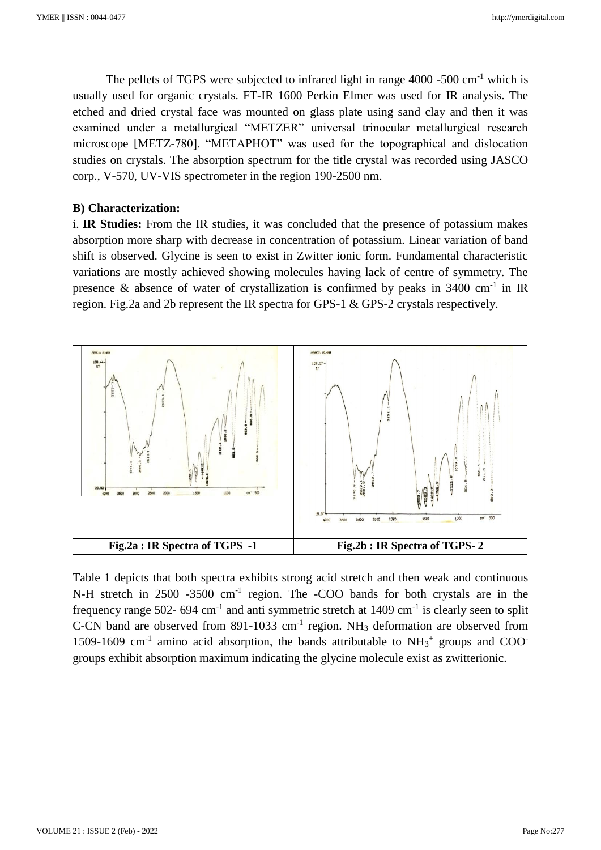The pellets of TGPS were subjected to infrared light in range  $4000 - 500$  cm<sup>-1</sup> which is usually used for organic crystals. FT-IR 1600 Perkin Elmer was used for IR analysis. The etched and dried crystal face was mounted on glass plate using sand clay and then it was examined under a metallurgical "METZER" universal trinocular metallurgical research microscope [METZ-780]. "METAPHOT" was used for the topographical and dislocation studies on crystals. The absorption spectrum for the title crystal was recorded using JASCO corp., V-570, UV-VIS spectrometer in the region 190-2500 nm.

#### **B) Characterization:**

i. **IR Studies:** From the IR studies, it was concluded that the presence of potassium makes absorption more sharp with decrease in concentration of potassium. Linear variation of band shift is observed. Glycine is seen to exist in Zwitter ionic form. Fundamental characteristic variations are mostly achieved showing molecules having lack of centre of symmetry. The presence & absence of water of crystallization is confirmed by peaks in  $3400 \text{ cm}^{-1}$  in IR region. Fig.2a and 2b represent the IR spectra for GPS-1 & GPS-2 crystals respectively.



Table 1 depicts that both spectra exhibits strong acid stretch and then weak and continuous N-H stretch in 2500 -3500 cm<sup>-1</sup> region. The -COO bands for both crystals are in the frequency range 502- 694 cm<sup>-1</sup> and anti symmetric stretch at  $1409 \text{ cm}^{-1}$  is clearly seen to split C-CN band are observed from  $891-1033$  cm<sup>-1</sup> region. NH<sub>3</sub> deformation are observed from 1509-1609 cm<sup>-1</sup> amino acid absorption, the bands attributable to  $NH<sub>3</sub><sup>+</sup>$  groups and COO<sup>-</sup> groups exhibit absorption maximum indicating the glycine molecule exist as zwitterionic.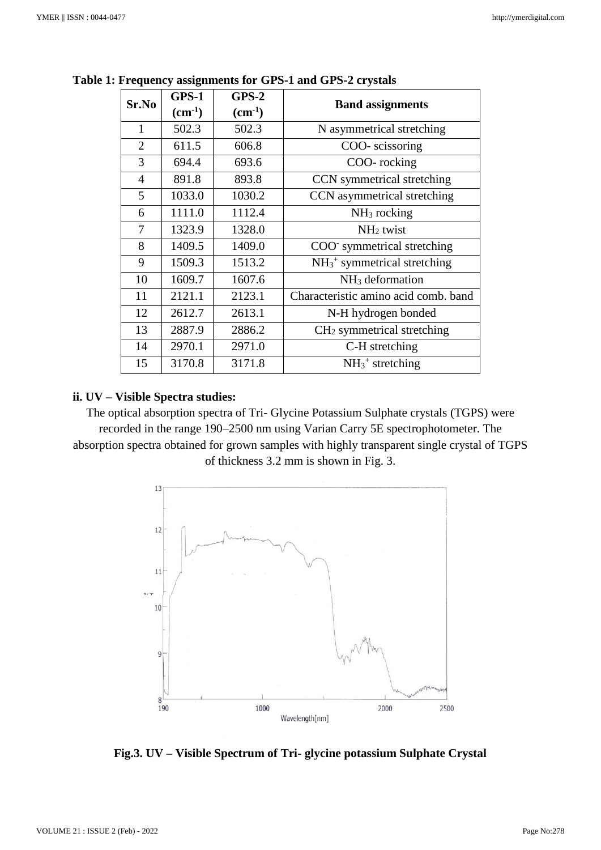| Sr.No          | GPS-1              | $GPS-2$            | <b>Band assignments</b>                    |
|----------------|--------------------|--------------------|--------------------------------------------|
|                | $\text{(cm}^{-1})$ | $\text{(cm}^{-1})$ |                                            |
| 1              | 502.3              | 502.3              | N asymmetrical stretching                  |
| $\overline{2}$ | 611.5              | 606.8              | COO-scissoring                             |
| 3              | 694.4              | 693.6              | COO-rocking                                |
| $\overline{4}$ | 891.8              | 893.8              | CCN symmetrical stretching                 |
| 5              | 1033.0             | 1030.2             | CCN asymmetrical stretching                |
| 6              | 1111.0             | 1112.4             | $NH3$ rocking                              |
| 7              | 1323.9             | 1328.0             | NH <sub>2</sub> twist                      |
| 8              | 1409.5             | 1409.0             | COO symmetrical stretching                 |
| 9              | 1509.3             | 1513.2             | $NH_3$ <sup>+</sup> symmetrical stretching |
| 10             | 1609.7             | 1607.6             | $NH3$ deformation                          |
| 11             | 2121.1             | 2123.1             | Characteristic amino acid comb. band       |
| 12             | 2612.7             | 2613.1             | N-H hydrogen bonded                        |
| 13             | 2887.9             | 2886.2             | $CH2$ symmetrical stretching               |
| 14             | 2970.1             | 2971.0             | C-H stretching                             |
| 15             | 3170.8             | 3171.8             | $NH3+ stretching$                          |

**Table 1: Frequency assignments for GPS-1 and GPS-2 crystals**

#### **ii. UV – Visible Spectra studies:**

The optical absorption spectra of Tri- Glycine Potassium Sulphate crystals (TGPS) were recorded in the range 190–2500 nm using Varian Carry 5E spectrophotometer. The absorption spectra obtained for grown samples with highly transparent single crystal of TGPS of thickness 3.2 mm is shown in Fig. 3.



**Fig.3. UV – Visible Spectrum of Tri- glycine potassium Sulphate Crystal**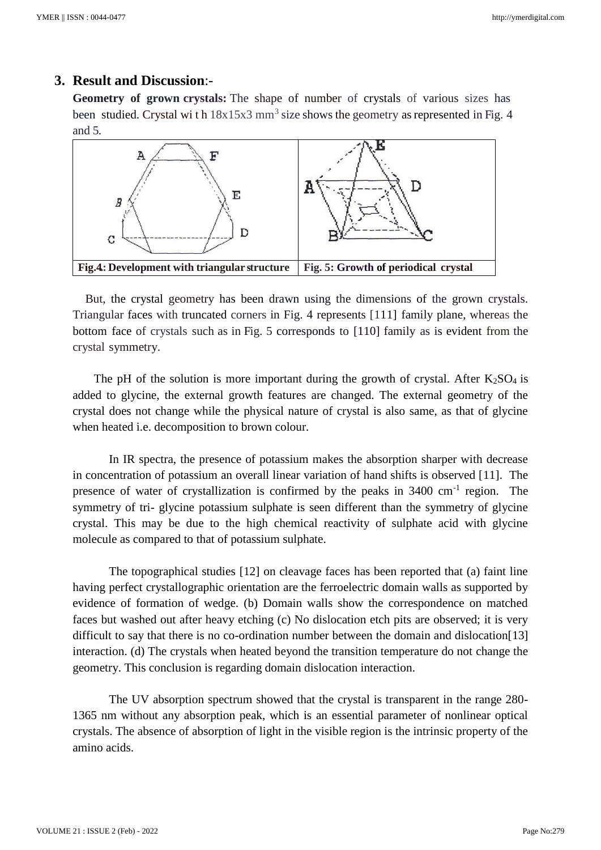## **3. Result and Discussion**:-

**Geometry of grown crystals:** The shape of number of crystals of various sizes has been studied. Crystal wi th  $18x15x3$  mm<sup>3</sup> size shows the geometry as represented in Fig. 4 and 5.



 But, the crystal geometry has been drawn using the dimensions of the grown crystals. Triangular faces with truncated corners in Fig. 4 represents [111] family plane, whereas the bottom face of crystals such as in Fig. 5 corresponds to [110] family as is evident from the crystal symmetry.

The pH of the solution is more important during the growth of crystal. After  $K_2SO_4$  is added to glycine, the external growth features are changed. The external geometry of the crystal does not change while the physical nature of crystal is also same, as that of glycine when heated i.e. decomposition to brown colour.

In IR spectra, the presence of potassium makes the absorption sharper with decrease in concentration of potassium an overall linear variation of hand shifts is observed [11]. The presence of water of crystallization is confirmed by the peaks in  $3400 \text{ cm}^{-1}$  region. The symmetry of tri- glycine potassium sulphate is seen different than the symmetry of glycine crystal. This may be due to the high chemical reactivity of sulphate acid with glycine molecule as compared to that of potassium sulphate.

The topographical studies [12] on cleavage faces has been reported that (a) faint line having perfect crystallographic orientation are the ferroelectric domain walls as supported by evidence of formation of wedge. (b) Domain walls show the correspondence on matched faces but washed out after heavy etching (c) No dislocation etch pits are observed; it is very difficult to say that there is no co-ordination number between the domain and dislocation[13] interaction. (d) The crystals when heated beyond the transition temperature do not change the geometry. This conclusion is regarding domain dislocation interaction.

The UV absorption spectrum showed that the crystal is transparent in the range 280- 1365 nm without any absorption peak, which is an essential parameter of nonlinear optical crystals. The absence of absorption of light in the visible region is the intrinsic property of the amino acids.